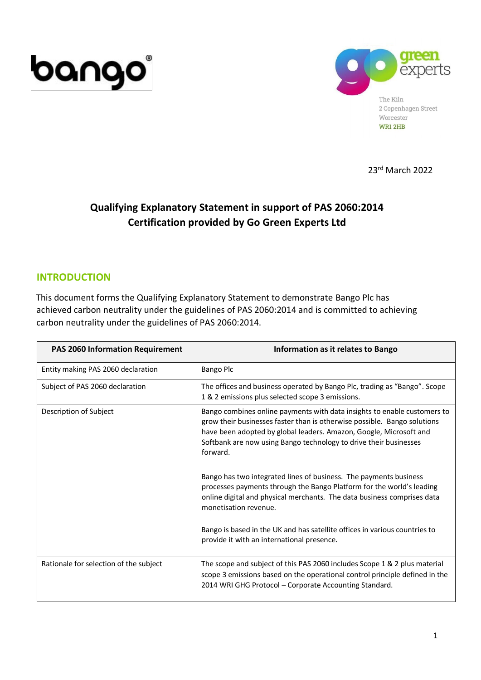



23 rd March 2022

# **Qualifying Explanatory Statement in support of PAS 2060:2014 Certification provided by Go Green Experts Ltd**

### **INTRODUCTION**

This document forms the Qualifying Explanatory Statement to demonstrate Bango Plc has achieved carbon neutrality under the guidelines of PAS 2060:2014 and is committed to achieving carbon neutrality under the guidelines of PAS 2060:2014.

| <b>PAS 2060 Information Requirement</b> | Information as it relates to Bango                                                                                                                                                                                                                                                                                                                                               |
|-----------------------------------------|----------------------------------------------------------------------------------------------------------------------------------------------------------------------------------------------------------------------------------------------------------------------------------------------------------------------------------------------------------------------------------|
| Entity making PAS 2060 declaration      | <b>Bango Plc</b>                                                                                                                                                                                                                                                                                                                                                                 |
| Subject of PAS 2060 declaration         | The offices and business operated by Bango Plc, trading as "Bango". Scope<br>1 & 2 emissions plus selected scope 3 emissions.                                                                                                                                                                                                                                                    |
| Description of Subject                  | Bango combines online payments with data insights to enable customers to<br>grow their businesses faster than is otherwise possible. Bango solutions<br>have been adopted by global leaders. Amazon, Google, Microsoft and<br>Softbank are now using Bango technology to drive their businesses<br>forward.<br>Bango has two integrated lines of business. The payments business |
|                                         | processes payments through the Bango Platform for the world's leading<br>online digital and physical merchants. The data business comprises data<br>monetisation revenue.                                                                                                                                                                                                        |
|                                         | Bango is based in the UK and has satellite offices in various countries to<br>provide it with an international presence.                                                                                                                                                                                                                                                         |
| Rationale for selection of the subject  | The scope and subject of this PAS 2060 includes Scope 1 & 2 plus material<br>scope 3 emissions based on the operational control principle defined in the<br>2014 WRI GHG Protocol - Corporate Accounting Standard.                                                                                                                                                               |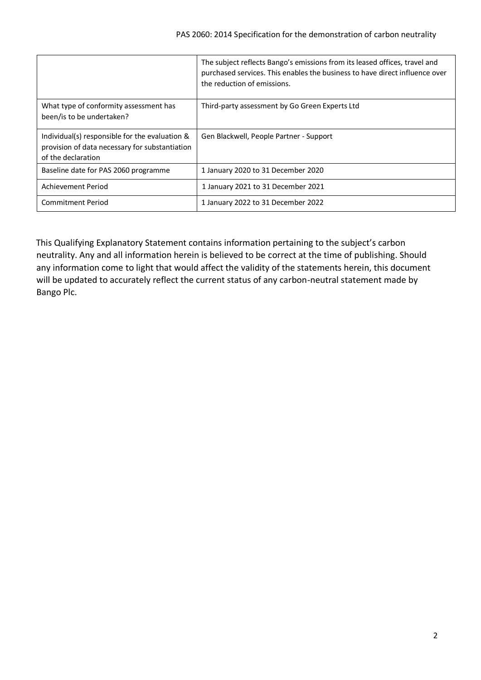|                                                                                                                        | The subject reflects Bango's emissions from its leased offices, travel and<br>purchased services. This enables the business to have direct influence over<br>the reduction of emissions. |
|------------------------------------------------------------------------------------------------------------------------|------------------------------------------------------------------------------------------------------------------------------------------------------------------------------------------|
| What type of conformity assessment has<br>been/is to be undertaken?                                                    | Third-party assessment by Go Green Experts Ltd                                                                                                                                           |
| Individual(s) responsible for the evaluation &<br>provision of data necessary for substantiation<br>of the declaration | Gen Blackwell, People Partner - Support                                                                                                                                                  |
| Baseline date for PAS 2060 programme                                                                                   | 1 January 2020 to 31 December 2020                                                                                                                                                       |
| Achievement Period                                                                                                     | 1 January 2021 to 31 December 2021                                                                                                                                                       |
| <b>Commitment Period</b>                                                                                               | 1 January 2022 to 31 December 2022                                                                                                                                                       |

This Qualifying Explanatory Statement contains information pertaining to the subject's carbon neutrality. Any and all information herein is believed to be correct at the time of publishing. Should any information come to light that would affect the validity of the statements herein, this document will be updated to accurately reflect the current status of any carbon-neutral statement made by Bango Plc.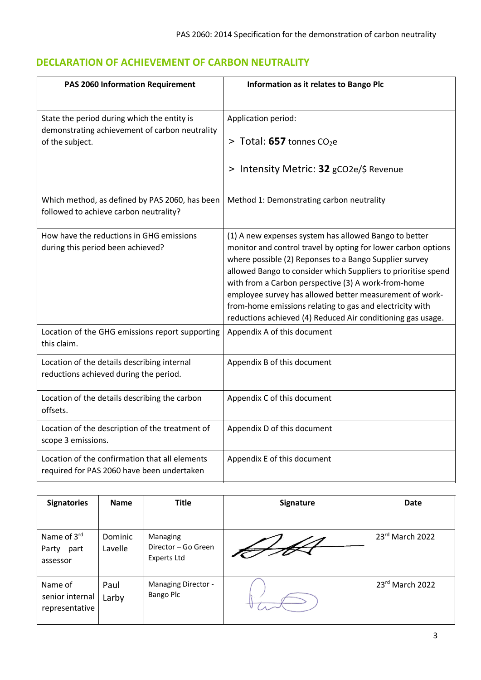# **DECLARATION OF ACHIEVEMENT OF CARBON NEUTRALITY**

| <b>PAS 2060 Information Requirement</b>                                                       | Information as it relates to Bango Plc                                                                                                                                                                                                                                                                                                                                                                                                                                                         |
|-----------------------------------------------------------------------------------------------|------------------------------------------------------------------------------------------------------------------------------------------------------------------------------------------------------------------------------------------------------------------------------------------------------------------------------------------------------------------------------------------------------------------------------------------------------------------------------------------------|
| State the period during which the entity is<br>demonstrating achievement of carbon neutrality | Application period:                                                                                                                                                                                                                                                                                                                                                                                                                                                                            |
| of the subject.                                                                               | $>$ Total: 657 tonnes CO <sub>2</sub> e                                                                                                                                                                                                                                                                                                                                                                                                                                                        |
|                                                                                               | > Intensity Metric: 32 gCO2e/\$ Revenue                                                                                                                                                                                                                                                                                                                                                                                                                                                        |
| Which method, as defined by PAS 2060, has been<br>followed to achieve carbon neutrality?      | Method 1: Demonstrating carbon neutrality                                                                                                                                                                                                                                                                                                                                                                                                                                                      |
| How have the reductions in GHG emissions<br>during this period been achieved?                 | (1) A new expenses system has allowed Bango to better<br>monitor and control travel by opting for lower carbon options<br>where possible (2) Reponses to a Bango Supplier survey<br>allowed Bango to consider which Suppliers to prioritise spend<br>with from a Carbon perspective (3) A work-from-home<br>employee survey has allowed better measurement of work-<br>from-home emissions relating to gas and electricity with<br>reductions achieved (4) Reduced Air conditioning gas usage. |
| Location of the GHG emissions report supporting<br>this claim.                                | Appendix A of this document                                                                                                                                                                                                                                                                                                                                                                                                                                                                    |
| Location of the details describing internal<br>reductions achieved during the period.         | Appendix B of this document                                                                                                                                                                                                                                                                                                                                                                                                                                                                    |
| Location of the details describing the carbon<br>offsets.                                     | Appendix C of this document                                                                                                                                                                                                                                                                                                                                                                                                                                                                    |
| Location of the description of the treatment of<br>scope 3 emissions.                         | Appendix D of this document                                                                                                                                                                                                                                                                                                                                                                                                                                                                    |
| Location of the confirmation that all elements<br>required for PAS 2060 have been undertaken  | Appendix E of this document                                                                                                                                                                                                                                                                                                                                                                                                                                                                    |

| <b>Signatories</b>                           | <b>Name</b>        | <b>Title</b>                                          | <b>Signature</b> | <b>Date</b>     |
|----------------------------------------------|--------------------|-------------------------------------------------------|------------------|-----------------|
| Name of 3rd<br>Party<br>part<br>assessor     | Dominic<br>Lavelle | Managing<br>Director - Go Green<br><b>Experts Ltd</b> |                  | 23rd March 2022 |
| Name of<br>senior internal<br>representative | Paul<br>Larby      | Managing Director -<br>Bango Plc                      |                  | 23rd March 2022 |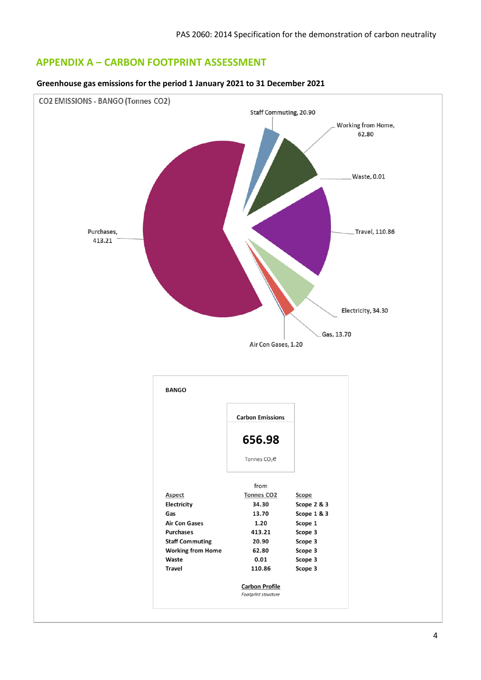### **APPENDIX A – CARBON FOOTPRINT ASSESSMENT**

#### **Greenhouse gas emissions for the period 1 January 2021 to 31 December 2021**

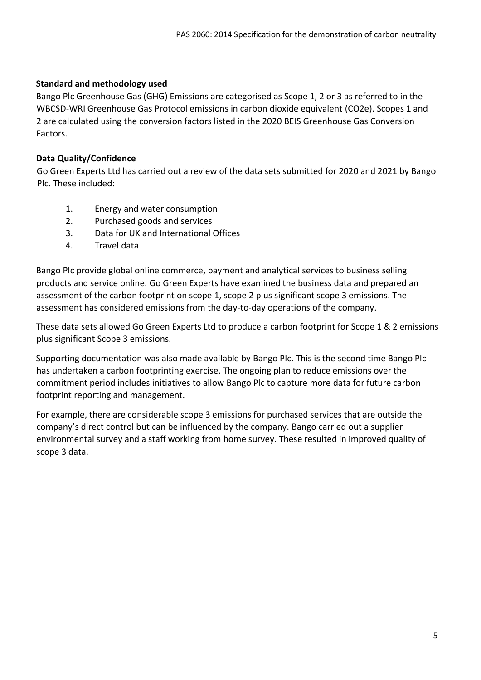### **Standard and methodology used**

Bango Plc Greenhouse Gas (GHG) Emissions are categorised as Scope 1, 2 or 3 as referred to in the WBCSD-WRI Greenhouse Gas Protocol emissions in carbon dioxide equivalent (CO2e). Scopes 1 and 2 are calculated using the conversion factors listed in the 2020 BEIS Greenhouse Gas Conversion Factors.

### **Data Quality/Confidence**

Go Green Experts Ltd has carried out a review of the data sets submitted for 2020 and 2021 by Bango Plc. These included:

- 1. Energy and water consumption
- 2. Purchased goods and services
- 3. Data for UK and International Offices
- 4. Travel data

Bango Plc provide global online commerce, payment and analytical services to business selling products and service online. Go Green Experts have examined the business data and prepared an assessment of the carbon footprint on scope 1, scope 2 plus significant scope 3 emissions. The assessment has considered emissions from the day-to-day operations of the company.

These data sets allowed Go Green Experts Ltd to produce a carbon footprint for Scope 1 & 2 emissions plus significant Scope 3 emissions.

Supporting documentation was also made available by Bango Plc. This is the second time Bango Plc has undertaken a carbon footprinting exercise. The ongoing plan to reduce emissions over the commitment period includes initiatives to allow Bango Plc to capture more data for future carbon footprint reporting and management.

For example, there are considerable scope 3 emissions for purchased services that are outside the company's direct control but can be influenced by the company. Bango carried out a supplier environmental survey and a staff working from home survey. These resulted in improved quality of scope 3 data.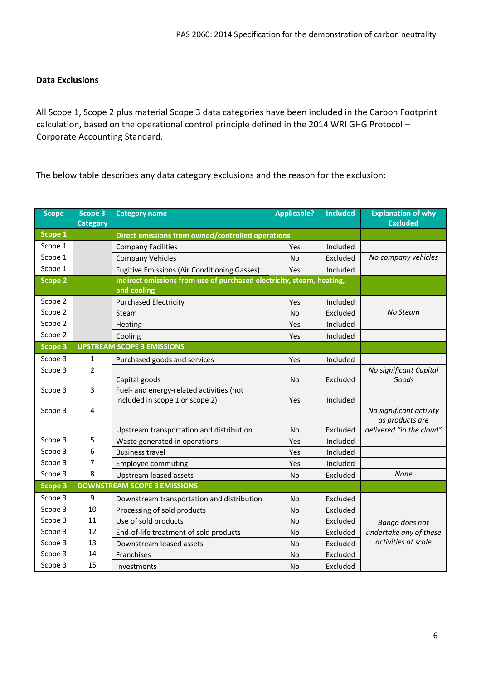### **Data Exclusions**

All Scope 1, Scope 2 plus material Scope 3 data categories have been included in the Carbon Footprint calculation, based on the operational control principle defined in the 2014 WRI GHG Protocol – Corporate Accounting Standard.

The below table describes any data category exclusions and the reason for the exclusion:

| <b>Scope</b>       | Scope 3<br><b>Category</b> | <b>Applicable?</b><br><b>Included</b><br><b>Category name</b>                        |           | <b>Explanation of why</b><br><b>Excluded</b> |                                            |  |
|--------------------|----------------------------|--------------------------------------------------------------------------------------|-----------|----------------------------------------------|--------------------------------------------|--|
| Scope <sub>1</sub> |                            | Direct emissions from owned/controlled operations                                    |           |                                              |                                            |  |
| Scope 1            |                            | <b>Company Facilities</b>                                                            | Yes       | Included                                     |                                            |  |
| Scope 1            |                            | <b>Company Vehicles</b>                                                              | No        | Excluded                                     | No company vehicles                        |  |
| Scope 1            |                            | <b>Fugitive Emissions (Air Conditioning Gasses)</b>                                  | Yes       | Included                                     |                                            |  |
| <b>Scope 2</b>     |                            | Indirect emissions from use of purchased electricity, steam, heating,<br>and cooling |           |                                              |                                            |  |
| Scope 2            |                            | <b>Purchased Electricity</b>                                                         | Yes       | Included                                     |                                            |  |
| Scope 2            |                            | Steam                                                                                | No        | Excluded                                     | No Steam                                   |  |
| Scope 2            |                            | Heating                                                                              | Yes       | Included                                     |                                            |  |
| Scope 2            |                            | Cooling                                                                              | Yes       | Included                                     |                                            |  |
| <b>Scope 3</b>     |                            | <b>UPSTREAM SCOPE 3 EMISSIONS</b>                                                    |           |                                              |                                            |  |
| Scope 3            | 1                          | Purchased goods and services                                                         | Yes       | Included                                     |                                            |  |
| Scope 3            | $\overline{2}$             |                                                                                      |           |                                              | No significant Capital                     |  |
|                    |                            | Capital goods                                                                        | No        | Excluded                                     | Goods                                      |  |
| Scope 3            | 3                          | Fuel- and energy-related activities (not                                             |           |                                              |                                            |  |
|                    |                            | included in scope 1 or scope 2)                                                      | Yes       | Included                                     |                                            |  |
| Scope 3            | 4                          |                                                                                      |           |                                              | No significant activity<br>as products are |  |
|                    |                            | Upstream transportation and distribution                                             | No        | Excluded                                     | delivered "in the cloud"                   |  |
| Scope 3            | 5                          | Waste generated in operations                                                        | Yes       | Included                                     |                                            |  |
| Scope 3            | 6                          | <b>Business travel</b>                                                               | Yes       | Included                                     |                                            |  |
| Scope 3            | 7                          | <b>Employee commuting</b>                                                            | Yes       | Included                                     |                                            |  |
| Scope 3            | 8                          | Upstream leased assets                                                               | <b>No</b> | Excluded                                     | None                                       |  |
| <b>Scope 3</b>     |                            | <b>DOWNSTREAM SCOPE 3 EMISSIONS</b>                                                  |           |                                              |                                            |  |
| Scope 3            | 9                          | Downstream transportation and distribution                                           | <b>No</b> | Excluded                                     |                                            |  |
| Scope 3            | 10                         | Processing of sold products                                                          | <b>No</b> | Excluded                                     |                                            |  |
| Scope 3            | 11                         | Use of sold products                                                                 | No        | Excluded                                     | Bango does not                             |  |
| Scope 3            | 12                         | End-of-life treatment of sold products                                               | No        | Excluded                                     | undertake any of these                     |  |
| Scope 3            | 13                         | Downstream leased assets                                                             | No        | Excluded                                     | activities at scale                        |  |
| Scope 3            | 14                         | Franchises                                                                           | No        | Excluded                                     |                                            |  |
| Scope 3            | 15                         | Investments                                                                          | <b>No</b> | Excluded                                     |                                            |  |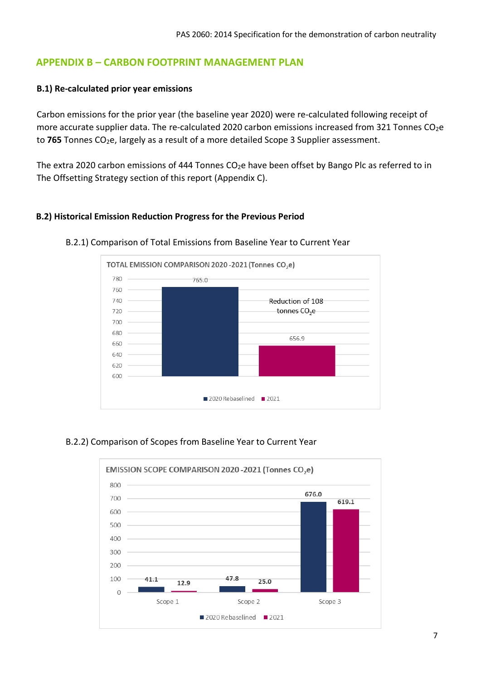## **APPENDIX B – CARBON FOOTPRINT MANAGEMENT PLAN**

### **B.1) Re-calculated prior year emissions**

Carbon emissions for the prior year (the baseline year 2020) were re-calculated following receipt of more accurate supplier data. The re-calculated 2020 carbon emissions increased from 321 Tonnes CO<sub>2</sub>e to 765 Tonnes CO<sub>2</sub>e, largely as a result of a more detailed Scope 3 Supplier assessment.

The extra 2020 carbon emissions of 444 Tonnes CO<sub>2</sub>e have been offset by Bango Plc as referred to in The Offsetting Strategy section of this report (Appendix C).

### **B.2) Historical Emission Reduction Progress for the Previous Period**



#### B.2.1) Comparison of Total Emissions from Baseline Year to Current Year

### B.2.2) Comparison of Scopes from Baseline Year to Current Year

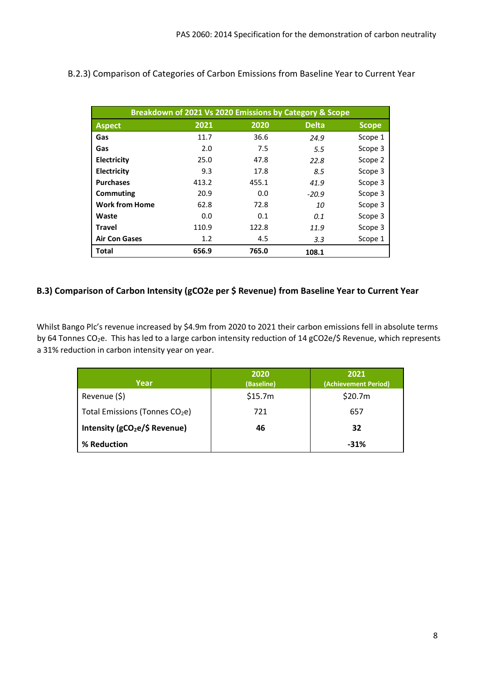|                       | Breakdown of 2021 Vs 2020 Emissions by Category & Scope |       |              |              |
|-----------------------|---------------------------------------------------------|-------|--------------|--------------|
| <b>Aspect</b>         | 2021                                                    | 2020  | <b>Delta</b> | <b>Scope</b> |
| Gas                   | 11.7                                                    | 36.6  | 24.9         | Scope 1      |
| Gas                   | 2.0                                                     | 7.5   | 5.5          | Scope 3      |
| Electricity           | 25.0                                                    | 47.8  | 22.8         | Scope 2      |
| <b>Electricity</b>    | 9.3                                                     | 17.8  | 8.5          | Scope 3      |
| <b>Purchases</b>      | 413.2                                                   | 455.1 | 41.9         | Scope 3      |
| Commuting             | 20.9                                                    | 0.0   | $-20.9$      | Scope 3      |
| <b>Work from Home</b> | 62.8                                                    | 72.8  | 10           | Scope 3      |
| Waste                 | 0.0                                                     | 0.1   | 0.1          | Scope 3      |
| <b>Travel</b>         | 110.9                                                   | 122.8 | 11.9         | Scope 3      |
| <b>Air Con Gases</b>  | 1.2                                                     | 4.5   | 3.3          | Scope 1      |
| <b>Total</b>          | 656.9                                                   | 765.0 | 108.1        |              |

### B.2.3) Comparison of Categories of Carbon Emissions from Baseline Year to Current Year

### **B.3) Comparison of Carbon Intensity (gCO2e per \$ Revenue) from Baseline Year to Current Year**

Whilst Bango Plc's revenue increased by \$4.9m from 2020 to 2021 their carbon emissions fell in absolute terms by 64 Tonnes CO<sub>2</sub>e. This has led to a large carbon intensity reduction of 14 gCO2e/\$ Revenue, which represents a 31% reduction in carbon intensity year on year.

| Year                                       | 2020<br>(Baseline) | 2021<br>(Achievement Period) |
|--------------------------------------------|--------------------|------------------------------|
| Revenue (\$)                               | \$15.7m            | \$20.7m                      |
| Total Emissions (Tonnes CO <sub>2</sub> e) | 721                | 657                          |
| Intensity (gCO <sub>2</sub> e/\$ Revenue)  | 46                 | 32                           |
| % Reduction                                |                    | $-31%$                       |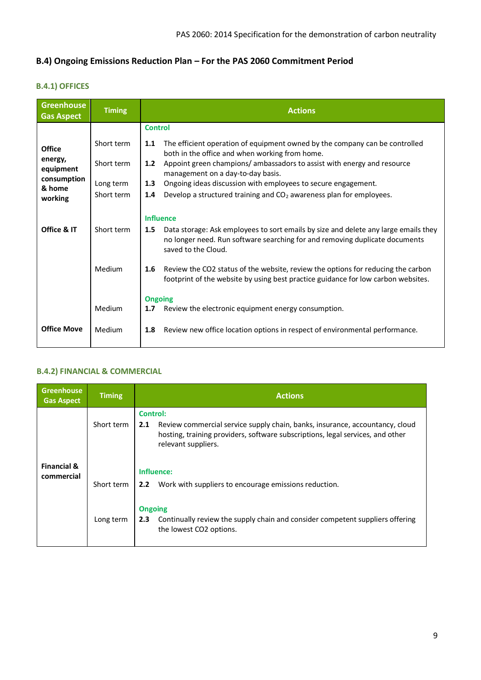# **B.4) Ongoing Emissions Reduction Plan – For the PAS 2060 Commitment Period**

### **B.4.1) OFFICES**

| <b>Greenhouse</b><br><b>Gas Aspect</b> | <b>Timing</b> | <b>Actions</b>                                                                                                                                                                                   |
|----------------------------------------|---------------|--------------------------------------------------------------------------------------------------------------------------------------------------------------------------------------------------|
|                                        |               | <b>Control</b>                                                                                                                                                                                   |
| <b>Office</b>                          | Short term    | The efficient operation of equipment owned by the company can be controlled<br>1.1<br>both in the office and when working from home.                                                             |
| energy,<br>equipment                   | Short term    | Appoint green champions/ ambassadors to assist with energy and resource<br>1.2<br>management on a day-to-day basis.                                                                              |
| consumption<br>& home                  | Long term     | Ongoing ideas discussion with employees to secure engagement.<br>1.3                                                                                                                             |
| working                                | Short term    | Develop a structured training and CO <sub>2</sub> awareness plan for employees.<br>1.4                                                                                                           |
|                                        |               | <b>Influence</b>                                                                                                                                                                                 |
| Office & IT                            | Short term    | Data storage: Ask employees to sort emails by size and delete any large emails they<br>1.5<br>no longer need. Run software searching for and removing duplicate documents<br>saved to the Cloud. |
|                                        | Medium        | Review the CO2 status of the website, review the options for reducing the carbon<br>$1.6\phantom{0}$<br>footprint of the website by using best practice guidance for low carbon websites.        |
|                                        | Medium        | <b>Ongoing</b><br>Review the electronic equipment energy consumption.<br>1.7                                                                                                                     |
| <b>Office Move</b>                     | Medium        | Review new office location options in respect of environmental performance.<br>1.8                                                                                                               |

#### **B.4.2) FINANCIAL & COMMERCIAL**

| <b>Greenhouse</b><br><b>Gas Aspect</b> | <b>Timing</b> | <b>Actions</b>                                                                                                                                                                                                  |
|----------------------------------------|---------------|-----------------------------------------------------------------------------------------------------------------------------------------------------------------------------------------------------------------|
|                                        | Short term    | <b>Control:</b><br>Review commercial service supply chain, banks, insurance, accountancy, cloud<br>2.1<br>hosting, training providers, software subscriptions, legal services, and other<br>relevant suppliers. |
| <b>Financial &amp;</b><br>commercial   | Short term    | Influence:<br>Work with suppliers to encourage emissions reduction.<br>2.2                                                                                                                                      |
|                                        | Long term     | <b>Ongoing</b><br>Continually review the supply chain and consider competent suppliers offering<br>2.3<br>the lowest CO2 options.                                                                               |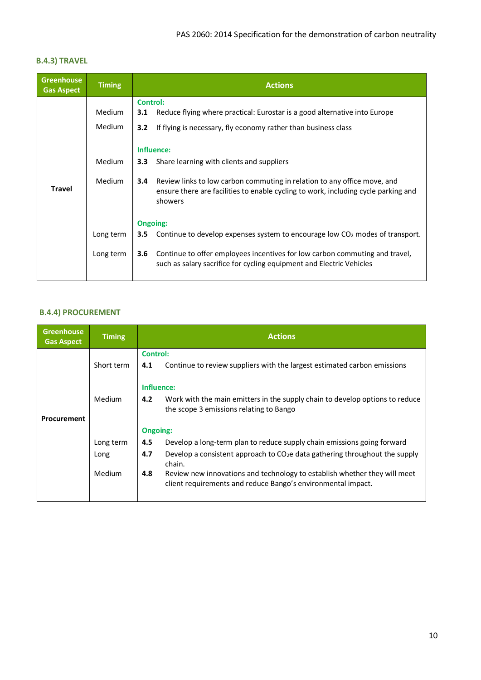### **B.4.3) TRAVEL**

| <b>Greenhouse</b><br><b>Gas Aspect</b> | <b>Timing</b> | <b>Actions</b>                                                                                                                                                                             |
|----------------------------------------|---------------|--------------------------------------------------------------------------------------------------------------------------------------------------------------------------------------------|
|                                        |               | Control:                                                                                                                                                                                   |
|                                        | <b>Medium</b> | Reduce flying where practical: Eurostar is a good alternative into Europe<br>3.1                                                                                                           |
|                                        | <b>Medium</b> | 3.2<br>If flying is necessary, fly economy rather than business class                                                                                                                      |
|                                        |               | Influence:                                                                                                                                                                                 |
|                                        | Medium        | Share learning with clients and suppliers<br>3.3 <sub>2</sub>                                                                                                                              |
| <b>Travel</b>                          | <b>Medium</b> | Review links to low carbon commuting in relation to any office move, and<br>$3.4^{\circ}$<br>ensure there are facilities to enable cycling to work, including cycle parking and<br>showers |
|                                        |               | Ongoing:                                                                                                                                                                                   |
|                                        | Long term     | Continue to develop expenses system to encourage low $CO2$ modes of transport.<br>3.5                                                                                                      |
|                                        | Long term     | 3.6<br>Continue to offer employees incentives for low carbon commuting and travel,<br>such as salary sacrifice for cycling equipment and Electric Vehicles                                 |

#### **B.4.4) PROCUREMENT**

| <b>Greenhouse</b><br><b>Gas Aspect</b> | <b>Timing</b> | <b>Actions</b>  |                                                                                                                                           |  |  |
|----------------------------------------|---------------|-----------------|-------------------------------------------------------------------------------------------------------------------------------------------|--|--|
|                                        |               |                 | <b>Control:</b>                                                                                                                           |  |  |
|                                        | Short term    | 4.1             | Continue to review suppliers with the largest estimated carbon emissions                                                                  |  |  |
|                                        |               | Influence:      |                                                                                                                                           |  |  |
|                                        | Medium        | 4.2             | Work with the main emitters in the supply chain to develop options to reduce<br>the scope 3 emissions relating to Bango                   |  |  |
| Procurement                            |               |                 |                                                                                                                                           |  |  |
|                                        |               | <b>Ongoing:</b> |                                                                                                                                           |  |  |
|                                        | Long term     | 4.5             | Develop a long-term plan to reduce supply chain emissions going forward                                                                   |  |  |
|                                        | Long          | 4.7             | Develop a consistent approach to $CO2e$ data gathering throughout the supply<br>chain.                                                    |  |  |
|                                        | Medium        | 4.8             | Review new innovations and technology to establish whether they will meet<br>client requirements and reduce Bango's environmental impact. |  |  |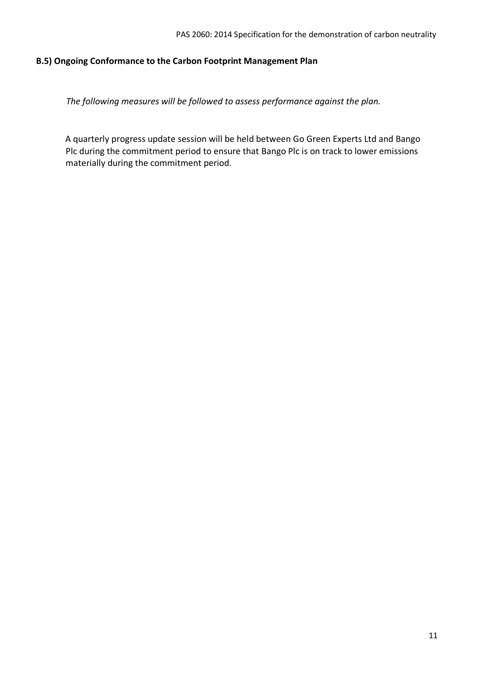#### **B.5) Ongoing Conformance to the Carbon Footprint Management Plan**

*The following measures will be followed to assess performance against the plan.*

A quarterly progress update session will be held between Go Green Experts Ltd and Bango Plc during the commitment period to ensure that Bango Plc is on track to lower emissions materially during the commitment period.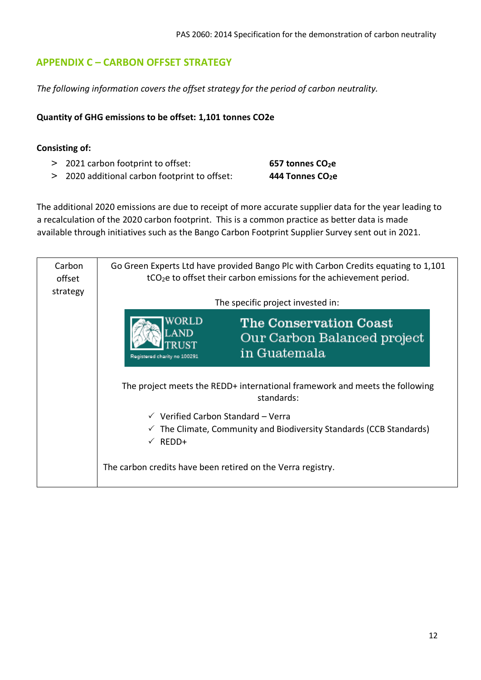# **APPENDIX C – CARBON OFFSET STRATEGY**

*The following information covers the offset strategy for the period of carbon neutrality.* 

### **Quantity of GHG emissions to be offset: 1,101 tonnes CO2e**

### **Consisting of:**

- > 2021 carbon footprint to offset: **657 tonnes CO2e**
- > 2020 additional carbon footprint to offset: **444 Tonnes CO2e**

The additional 2020 emissions are due to receipt of more accurate supplier data for the year leading to a recalculation of the 2020 carbon footprint. This is a common practice as better data is made available through initiatives such as the Bango Carbon Footprint Supplier Survey sent out in 2021.

| Carbon<br>offset<br>strategy | Go Green Experts Ltd have provided Bango Plc with Carbon Credits equating to 1,101<br>$tCO2e$ to offset their carbon emissions for the achievement period. |  |  |
|------------------------------|------------------------------------------------------------------------------------------------------------------------------------------------------------|--|--|
|                              | The specific project invested in:                                                                                                                          |  |  |
|                              | VORLD<br>The Conservation Coast<br>Our Carbon Balanced project<br>in Guatemala<br>Registered charity no 100291                                             |  |  |
|                              | The project meets the REDD+ international framework and meets the following<br>standards:                                                                  |  |  |
|                              | $\checkmark$ Verified Carbon Standard - Verra<br>$\checkmark$ The Climate, Community and Biodiversity Standards (CCB Standards)<br>REDD+<br>$\checkmark$   |  |  |
|                              | The carbon credits have been retired on the Verra registry.                                                                                                |  |  |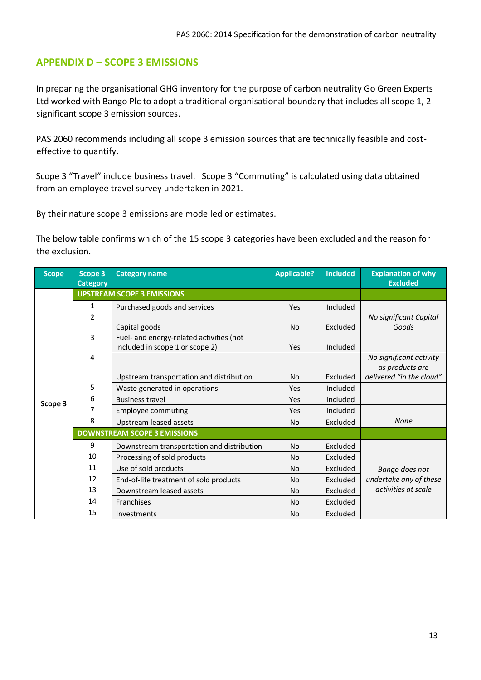### **APPENDIX D – SCOPE 3 EMISSIONS**

In preparing the organisational GHG inventory for the purpose of carbon neutrality Go Green Experts Ltd worked with Bango Plc to adopt a traditional organisational boundary that includes all scope 1, 2 significant scope 3 emission sources.

PAS 2060 recommends including all scope 3 emission sources that are technically feasible and costeffective to quantify.

Scope 3 "Travel" include business travel. Scope 3 "Commuting" is calculated using data obtained from an employee travel survey undertaken in 2021.

By their nature scope 3 emissions are modelled or estimates.

The below table confirms which of the 15 scope 3 categories have been excluded and the reason for the exclusion.

| <b>Scope</b> | Scope 3<br><b>Category</b> | <b>Category name</b>                       | <b>Applicable?</b> | <b>Included</b> | <b>Explanation of why</b><br><b>Excluded</b> |
|--------------|----------------------------|--------------------------------------------|--------------------|-----------------|----------------------------------------------|
|              |                            | <b>UPSTREAM SCOPE 3 EMISSIONS</b>          |                    |                 |                                              |
| Scope 3      | 1                          | Purchased goods and services               | Yes                | Included        |                                              |
|              | $\overline{2}$             |                                            |                    |                 | No significant Capital                       |
|              |                            | Capital goods                              | No                 | Excluded        | Goods                                        |
|              | 3                          | Fuel- and energy-related activities (not   |                    |                 |                                              |
|              |                            | included in scope 1 or scope 2)            | Yes                | Included        |                                              |
|              | 4                          |                                            |                    |                 | No significant activity                      |
|              |                            |                                            |                    |                 | as products are                              |
|              |                            | Upstream transportation and distribution   | <b>No</b>          | Excluded        | delivered "in the cloud"                     |
|              | 5                          | Waste generated in operations              | Yes                | Included        |                                              |
|              | 6                          | <b>Business travel</b>                     | Yes                | Included        |                                              |
|              | 7                          | <b>Employee commuting</b>                  | Yes                | Included        |                                              |
|              | 8                          | Upstream leased assets                     | No                 | Excluded        | <b>None</b>                                  |
|              |                            | <b>DOWNSTREAM SCOPE 3 EMISSIONS</b>        |                    |                 |                                              |
|              | 9                          | Downstream transportation and distribution | <b>No</b>          | Excluded        |                                              |
|              | 10                         | Processing of sold products                | <b>No</b>          | Excluded        |                                              |
|              | 11                         | Use of sold products                       | <b>No</b>          | Excluded        | Bango does not                               |
|              | 12                         | End-of-life treatment of sold products     | No                 | Excluded        | undertake any of these                       |
|              | 13                         | Downstream leased assets                   | <b>No</b>          | Excluded        | activities at scale                          |
|              | 14                         | Franchises                                 | No                 | Excluded        |                                              |
|              | 15                         | Investments                                | <b>No</b>          | Excluded        |                                              |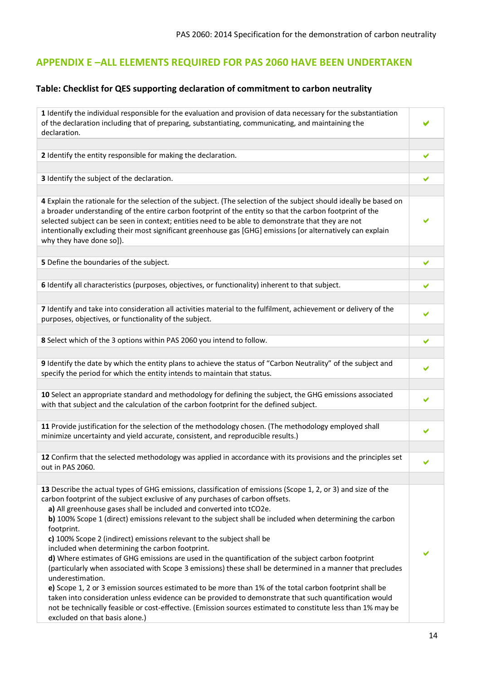## **APPENDIX E –ALL ELEMENTS REQUIRED FOR PAS 2060 HAVE BEEN UNDERTAKEN**

### **Table: Checklist for QES supporting declaration of commitment to carbon neutrality**

| 1 Identify the individual responsible for the evaluation and provision of data necessary for the substantiation                                                                                                                                                                                                                                                                                                                                                                                                                                                                                                                                                                                                                                                                                                                                                                                                                                                                                                                                                                                                                            |   |
|--------------------------------------------------------------------------------------------------------------------------------------------------------------------------------------------------------------------------------------------------------------------------------------------------------------------------------------------------------------------------------------------------------------------------------------------------------------------------------------------------------------------------------------------------------------------------------------------------------------------------------------------------------------------------------------------------------------------------------------------------------------------------------------------------------------------------------------------------------------------------------------------------------------------------------------------------------------------------------------------------------------------------------------------------------------------------------------------------------------------------------------------|---|
| of the declaration including that of preparing, substantiating, communicating, and maintaining the                                                                                                                                                                                                                                                                                                                                                                                                                                                                                                                                                                                                                                                                                                                                                                                                                                                                                                                                                                                                                                         |   |
| declaration.                                                                                                                                                                                                                                                                                                                                                                                                                                                                                                                                                                                                                                                                                                                                                                                                                                                                                                                                                                                                                                                                                                                               |   |
|                                                                                                                                                                                                                                                                                                                                                                                                                                                                                                                                                                                                                                                                                                                                                                                                                                                                                                                                                                                                                                                                                                                                            |   |
| 2 Identify the entity responsible for making the declaration.                                                                                                                                                                                                                                                                                                                                                                                                                                                                                                                                                                                                                                                                                                                                                                                                                                                                                                                                                                                                                                                                              | ✔ |
|                                                                                                                                                                                                                                                                                                                                                                                                                                                                                                                                                                                                                                                                                                                                                                                                                                                                                                                                                                                                                                                                                                                                            |   |
| 3 Identify the subject of the declaration.                                                                                                                                                                                                                                                                                                                                                                                                                                                                                                                                                                                                                                                                                                                                                                                                                                                                                                                                                                                                                                                                                                 | ✔ |
|                                                                                                                                                                                                                                                                                                                                                                                                                                                                                                                                                                                                                                                                                                                                                                                                                                                                                                                                                                                                                                                                                                                                            |   |
| 4 Explain the rationale for the selection of the subject. (The selection of the subject should ideally be based on<br>a broader understanding of the entire carbon footprint of the entity so that the carbon footprint of the<br>selected subject can be seen in context; entities need to be able to demonstrate that they are not<br>intentionally excluding their most significant greenhouse gas [GHG] emissions [or alternatively can explain<br>why they have done so]).                                                                                                                                                                                                                                                                                                                                                                                                                                                                                                                                                                                                                                                            |   |
|                                                                                                                                                                                                                                                                                                                                                                                                                                                                                                                                                                                                                                                                                                                                                                                                                                                                                                                                                                                                                                                                                                                                            |   |
| 5 Define the boundaries of the subject.                                                                                                                                                                                                                                                                                                                                                                                                                                                                                                                                                                                                                                                                                                                                                                                                                                                                                                                                                                                                                                                                                                    | ✔ |
|                                                                                                                                                                                                                                                                                                                                                                                                                                                                                                                                                                                                                                                                                                                                                                                                                                                                                                                                                                                                                                                                                                                                            |   |
| 6 Identify all characteristics (purposes, objectives, or functionality) inherent to that subject.                                                                                                                                                                                                                                                                                                                                                                                                                                                                                                                                                                                                                                                                                                                                                                                                                                                                                                                                                                                                                                          | ✔ |
|                                                                                                                                                                                                                                                                                                                                                                                                                                                                                                                                                                                                                                                                                                                                                                                                                                                                                                                                                                                                                                                                                                                                            |   |
| 7 Identify and take into consideration all activities material to the fulfilment, achievement or delivery of the<br>purposes, objectives, or functionality of the subject.                                                                                                                                                                                                                                                                                                                                                                                                                                                                                                                                                                                                                                                                                                                                                                                                                                                                                                                                                                 |   |
|                                                                                                                                                                                                                                                                                                                                                                                                                                                                                                                                                                                                                                                                                                                                                                                                                                                                                                                                                                                                                                                                                                                                            |   |
| 8 Select which of the 3 options within PAS 2060 you intend to follow.                                                                                                                                                                                                                                                                                                                                                                                                                                                                                                                                                                                                                                                                                                                                                                                                                                                                                                                                                                                                                                                                      | ✔ |
|                                                                                                                                                                                                                                                                                                                                                                                                                                                                                                                                                                                                                                                                                                                                                                                                                                                                                                                                                                                                                                                                                                                                            |   |
| 9 Identify the date by which the entity plans to achieve the status of "Carbon Neutrality" of the subject and                                                                                                                                                                                                                                                                                                                                                                                                                                                                                                                                                                                                                                                                                                                                                                                                                                                                                                                                                                                                                              | ✔ |
| specify the period for which the entity intends to maintain that status.                                                                                                                                                                                                                                                                                                                                                                                                                                                                                                                                                                                                                                                                                                                                                                                                                                                                                                                                                                                                                                                                   |   |
|                                                                                                                                                                                                                                                                                                                                                                                                                                                                                                                                                                                                                                                                                                                                                                                                                                                                                                                                                                                                                                                                                                                                            |   |
| 10 Select an appropriate standard and methodology for defining the subject, the GHG emissions associated                                                                                                                                                                                                                                                                                                                                                                                                                                                                                                                                                                                                                                                                                                                                                                                                                                                                                                                                                                                                                                   |   |
| with that subject and the calculation of the carbon footprint for the defined subject.                                                                                                                                                                                                                                                                                                                                                                                                                                                                                                                                                                                                                                                                                                                                                                                                                                                                                                                                                                                                                                                     |   |
|                                                                                                                                                                                                                                                                                                                                                                                                                                                                                                                                                                                                                                                                                                                                                                                                                                                                                                                                                                                                                                                                                                                                            |   |
| 11 Provide justification for the selection of the methodology chosen. (The methodology employed shall<br>minimize uncertainty and yield accurate, consistent, and reproducible results.)                                                                                                                                                                                                                                                                                                                                                                                                                                                                                                                                                                                                                                                                                                                                                                                                                                                                                                                                                   | ✔ |
|                                                                                                                                                                                                                                                                                                                                                                                                                                                                                                                                                                                                                                                                                                                                                                                                                                                                                                                                                                                                                                                                                                                                            |   |
| 12 Confirm that the selected methodology was applied in accordance with its provisions and the principles set<br>out in PAS 2060.                                                                                                                                                                                                                                                                                                                                                                                                                                                                                                                                                                                                                                                                                                                                                                                                                                                                                                                                                                                                          |   |
|                                                                                                                                                                                                                                                                                                                                                                                                                                                                                                                                                                                                                                                                                                                                                                                                                                                                                                                                                                                                                                                                                                                                            |   |
| 13 Describe the actual types of GHG emissions, classification of emissions (Scope 1, 2, or 3) and size of the<br>carbon footprint of the subject exclusive of any purchases of carbon offsets.<br>a) All greenhouse gases shall be included and converted into tCO2e.<br>b) 100% Scope 1 (direct) emissions relevant to the subject shall be included when determining the carbon<br>footprint.<br>c) 100% Scope 2 (indirect) emissions relevant to the subject shall be<br>included when determining the carbon footprint.<br>d) Where estimates of GHG emissions are used in the quantification of the subject carbon footprint<br>(particularly when associated with Scope 3 emissions) these shall be determined in a manner that precludes<br>underestimation.<br>e) Scope 1, 2 or 3 emission sources estimated to be more than 1% of the total carbon footprint shall be<br>taken into consideration unless evidence can be provided to demonstrate that such quantification would<br>not be technically feasible or cost-effective. (Emission sources estimated to constitute less than 1% may be<br>excluded on that basis alone.) |   |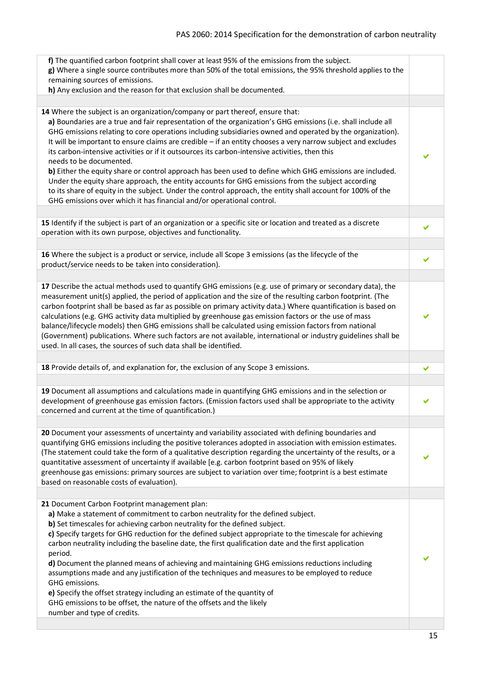| f) The quantified carbon footprint shall cover at least 95% of the emissions from the subject.<br>g) Where a single source contributes more than 50% of the total emissions, the 95% threshold applies to the<br>remaining sources of emissions.<br>h) Any exclusion and the reason for that exclusion shall be documented.                                                                                                                                                                                                                                                                                                                                                                                                                                                                                                                                                                                                                                      |   |
|------------------------------------------------------------------------------------------------------------------------------------------------------------------------------------------------------------------------------------------------------------------------------------------------------------------------------------------------------------------------------------------------------------------------------------------------------------------------------------------------------------------------------------------------------------------------------------------------------------------------------------------------------------------------------------------------------------------------------------------------------------------------------------------------------------------------------------------------------------------------------------------------------------------------------------------------------------------|---|
|                                                                                                                                                                                                                                                                                                                                                                                                                                                                                                                                                                                                                                                                                                                                                                                                                                                                                                                                                                  |   |
| 14 Where the subject is an organization/company or part thereof, ensure that:<br>a) Boundaries are a true and fair representation of the organization's GHG emissions (i.e. shall include all<br>GHG emissions relating to core operations including subsidiaries owned and operated by the organization).<br>It will be important to ensure claims are credible - if an entity chooses a very narrow subject and excludes<br>its carbon-intensive activities or if it outsources its carbon-intensive activities, then this<br>needs to be documented.<br>b) Either the equity share or control approach has been used to define which GHG emissions are included.<br>Under the equity share approach, the entity accounts for GHG emissions from the subject according<br>to its share of equity in the subject. Under the control approach, the entity shall account for 100% of the<br>GHG emissions over which it has financial and/or operational control. |   |
| 15 Identify if the subject is part of an organization or a specific site or location and treated as a discrete<br>operation with its own purpose, objectives and functionality.                                                                                                                                                                                                                                                                                                                                                                                                                                                                                                                                                                                                                                                                                                                                                                                  |   |
| 16 Where the subject is a product or service, include all Scope 3 emissions (as the lifecycle of the<br>product/service needs to be taken into consideration).                                                                                                                                                                                                                                                                                                                                                                                                                                                                                                                                                                                                                                                                                                                                                                                                   | ✔ |
|                                                                                                                                                                                                                                                                                                                                                                                                                                                                                                                                                                                                                                                                                                                                                                                                                                                                                                                                                                  |   |
| 17 Describe the actual methods used to quantify GHG emissions (e.g. use of primary or secondary data), the<br>measurement unit(s) applied, the period of application and the size of the resulting carbon footprint. (The<br>carbon footprint shall be based as far as possible on primary activity data.) Where quantification is based on<br>calculations (e.g. GHG activity data multiplied by greenhouse gas emission factors or the use of mass<br>balance/lifecycle models) then GHG emissions shall be calculated using emission factors from national<br>(Government) publications. Where such factors are not available, international or industry guidelines shall be<br>used. In all cases, the sources of such data shall be identified.                                                                                                                                                                                                             |   |
|                                                                                                                                                                                                                                                                                                                                                                                                                                                                                                                                                                                                                                                                                                                                                                                                                                                                                                                                                                  |   |
| 18 Provide details of, and explanation for, the exclusion of any Scope 3 emissions.                                                                                                                                                                                                                                                                                                                                                                                                                                                                                                                                                                                                                                                                                                                                                                                                                                                                              | ✔ |
| 19 Document all assumptions and calculations made in quantifying GHG emissions and in the selection or<br>development of greenhouse gas emission factors. (Emission factors used shall be appropriate to the activity<br>concerned and current at the time of quantification.)                                                                                                                                                                                                                                                                                                                                                                                                                                                                                                                                                                                                                                                                                   |   |
|                                                                                                                                                                                                                                                                                                                                                                                                                                                                                                                                                                                                                                                                                                                                                                                                                                                                                                                                                                  |   |
| 20 Document your assessments of uncertainty and variability associated with defining boundaries and<br>quantifying GHG emissions including the positive tolerances adopted in association with emission estimates.<br>(The statement could take the form of a qualitative description regarding the uncertainty of the results, or a<br>quantitative assessment of uncertainty if available [e.g. carbon footprint based on 95% of likely<br>greenhouse gas emissions: primary sources are subject to variation over time; footprint is a best estimate<br>based on reasonable costs of evaluation).                                                                                                                                                                                                                                                                                                                                                             |   |
|                                                                                                                                                                                                                                                                                                                                                                                                                                                                                                                                                                                                                                                                                                                                                                                                                                                                                                                                                                  |   |
| 21 Document Carbon Footprint management plan:<br>a) Make a statement of commitment to carbon neutrality for the defined subject.<br>b) Set timescales for achieving carbon neutrality for the defined subject.<br>c) Specify targets for GHG reduction for the defined subject appropriate to the timescale for achieving<br>carbon neutrality including the baseline date, the first qualification date and the first application<br>period.<br>d) Document the planned means of achieving and maintaining GHG emissions reductions including<br>assumptions made and any justification of the techniques and measures to be employed to reduce<br>GHG emissions.<br>e) Specify the offset strategy including an estimate of the quantity of<br>GHG emissions to be offset, the nature of the offsets and the likely<br>number and type of credits.                                                                                                             |   |
|                                                                                                                                                                                                                                                                                                                                                                                                                                                                                                                                                                                                                                                                                                                                                                                                                                                                                                                                                                  |   |